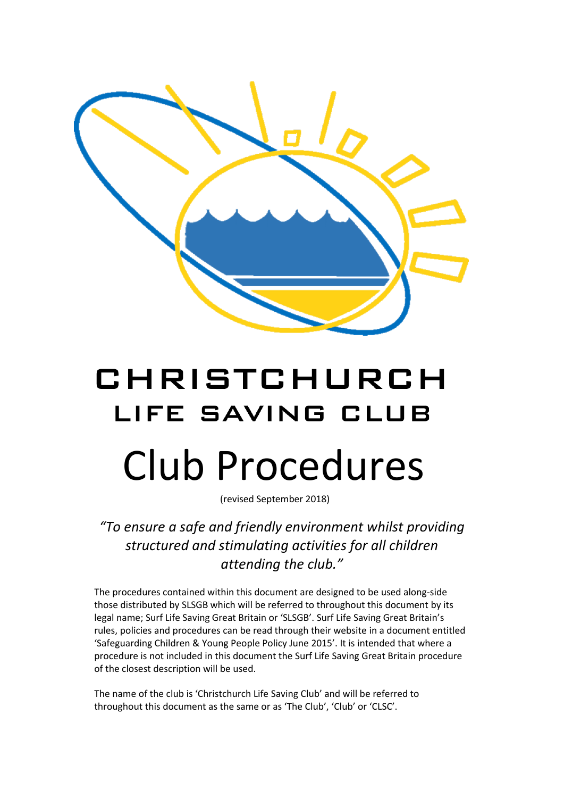

# CHRISTCHURCH LIFE SAVING CLUB Club Procedures

(revised September 2018)

*"To ensure a safe and friendly environment whilst providing structured and stimulating activities for all children attending the club."*

The procedures contained within this document are designed to be used along-side those distributed by SLSGB which will be referred to throughout this document by its legal name; Surf Life Saving Great Britain or 'SLSGB'. Surf Life Saving Great Britain's rules, policies and procedures can be read through their website in a document entitled 'Safeguarding Children & Young People Policy June 2015'. It is intended that where a procedure is not included in this document the Surf Life Saving Great Britain procedure of the closest description will be used.

The name of the club is 'Christchurch Life Saving Club' and will be referred to throughout this document as the same or as 'The Club', 'Club' or 'CLSC'.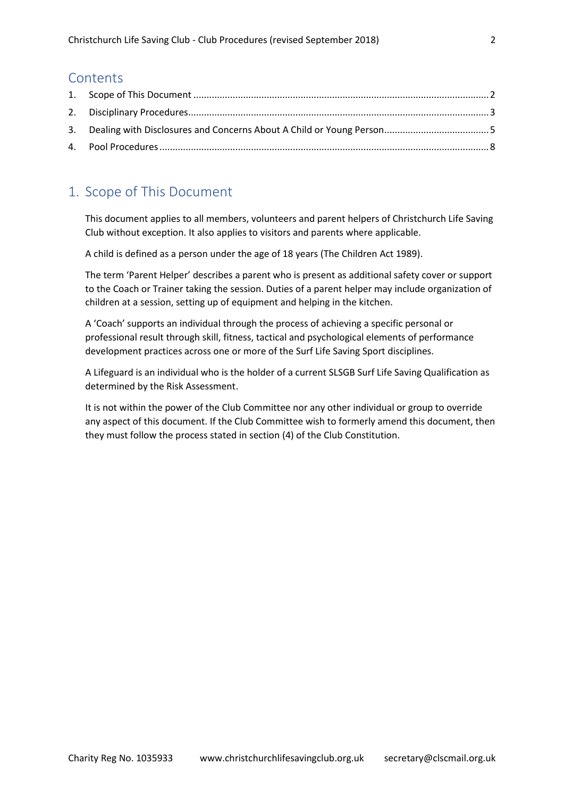### **Contents**

# <span id="page-1-0"></span>1. Scope of This Document

This document applies to all members, volunteers and parent helpers of Christchurch Life Saving Club without exception. It also applies to visitors and parents where applicable.

A child is defined as a person under the age of 18 years (The Children Act 1989).

The term 'Parent Helper' describes a parent who is present as additional safety cover or support to the Coach or Trainer taking the session. Duties of a parent helper may include organization of children at a session, setting up of equipment and helping in the kitchen.

A 'Coach' supports an individual through the process of achieving a specific personal or professional result through skill, fitness, tactical and psychological elements of performance development practices across one or more of the Surf Life Saving Sport disciplines.

A Lifeguard is an individual who is the holder of a current SLSGB Surf Life Saving Qualification as determined by the Risk Assessment.

It is not within the power of the Club Committee nor any other individual or group to override any aspect of this document. If the Club Committee wish to formerly amend this document, then they must follow the process stated in section (4) of the Club Constitution.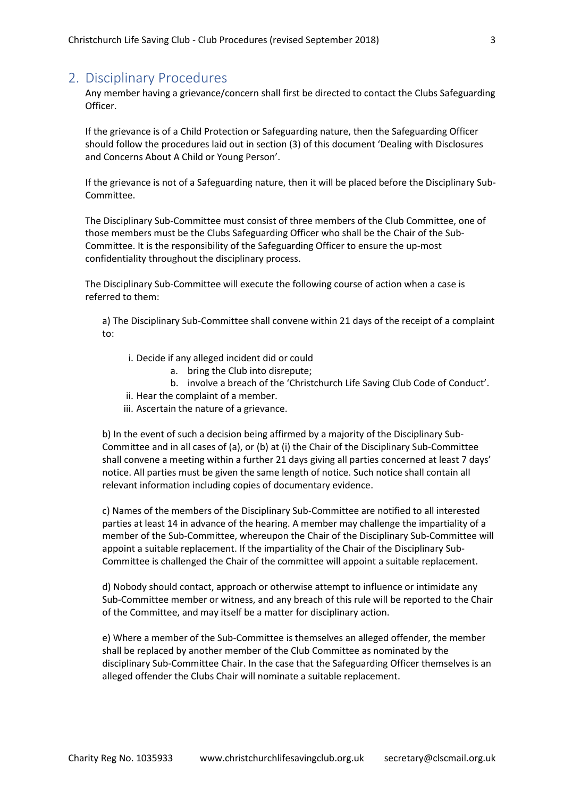## <span id="page-2-0"></span>2. Disciplinary Procedures

Any member having a grievance/concern shall first be directed to contact the Clubs Safeguarding Officer.

If the grievance is of a Child Protection or Safeguarding nature, then the Safeguarding Officer should follow the procedures laid out in section (3) of this document 'Dealing with Disclosures and Concerns About A Child or Young Person'.

If the grievance is not of a Safeguarding nature, then it will be placed before the Disciplinary Sub-Committee.

The Disciplinary Sub-Committee must consist of three members of the Club Committee, one of those members must be the Clubs Safeguarding Officer who shall be the Chair of the Sub-Committee. It is the responsibility of the Safeguarding Officer to ensure the up-most confidentiality throughout the disciplinary process.

The Disciplinary Sub-Committee will execute the following course of action when a case is referred to them:

a) The Disciplinary Sub-Committee shall convene within 21 days of the receipt of a complaint to:

- i. Decide if any alleged incident did or could
	- a. bring the Club into disrepute;
	- b. involve a breach of the 'Christchurch Life Saving Club Code of Conduct'.
- ii. Hear the complaint of a member.
- iii. Ascertain the nature of a grievance.

b) In the event of such a decision being affirmed by a majority of the Disciplinary Sub-Committee and in all cases of (a), or (b) at (i) the Chair of the Disciplinary Sub-Committee shall convene a meeting within a further 21 days giving all parties concerned at least 7 days' notice. All parties must be given the same length of notice. Such notice shall contain all relevant information including copies of documentary evidence.

c) Names of the members of the Disciplinary Sub-Committee are notified to all interested parties at least 14 in advance of the hearing. A member may challenge the impartiality of a member of the Sub-Committee, whereupon the Chair of the Disciplinary Sub-Committee will appoint a suitable replacement. If the impartiality of the Chair of the Disciplinary Sub-Committee is challenged the Chair of the committee will appoint a suitable replacement.

d) Nobody should contact, approach or otherwise attempt to influence or intimidate any Sub-Committee member or witness, and any breach of this rule will be reported to the Chair of the Committee, and may itself be a matter for disciplinary action.

e) Where a member of the Sub-Committee is themselves an alleged offender, the member shall be replaced by another member of the Club Committee as nominated by the disciplinary Sub-Committee Chair. In the case that the Safeguarding Officer themselves is an alleged offender the Clubs Chair will nominate a suitable replacement.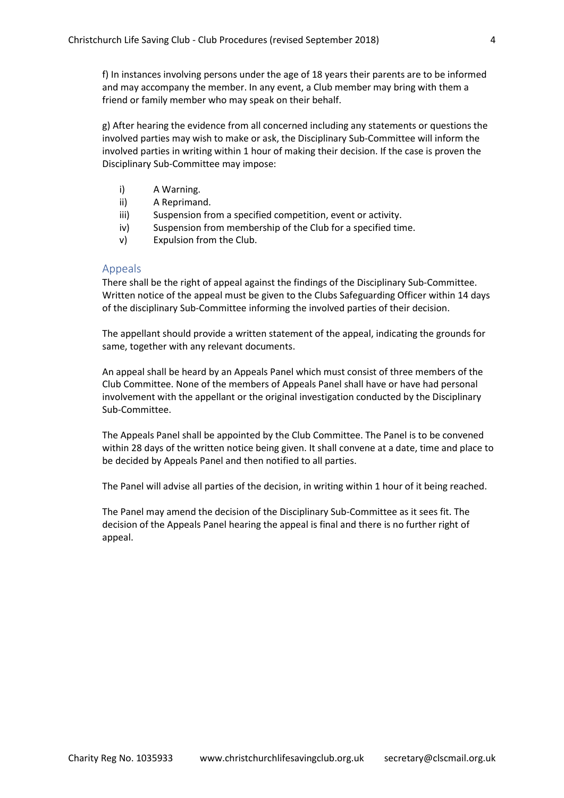f) In instances involving persons under the age of 18 years their parents are to be informed and may accompany the member. In any event, a Club member may bring with them a friend or family member who may speak on their behalf.

g) After hearing the evidence from all concerned including any statements or questions the involved parties may wish to make or ask, the Disciplinary Sub-Committee will inform the involved parties in writing within 1 hour of making their decision. If the case is proven the Disciplinary Sub-Committee may impose:

- i) A Warning.
- ii) A Reprimand.
- iii) Suspension from a specified competition, event or activity.
- iv) Suspension from membership of the Club for a specified time.
- v) Expulsion from the Club.

#### Appeals

There shall be the right of appeal against the findings of the Disciplinary Sub-Committee. Written notice of the appeal must be given to the Clubs Safeguarding Officer within 14 days of the disciplinary Sub-Committee informing the involved parties of their decision.

The appellant should provide a written statement of the appeal, indicating the grounds for same, together with any relevant documents.

An appeal shall be heard by an Appeals Panel which must consist of three members of the Club Committee. None of the members of Appeals Panel shall have or have had personal involvement with the appellant or the original investigation conducted by the Disciplinary Sub-Committee.

The Appeals Panel shall be appointed by the Club Committee. The Panel is to be convened within 28 days of the written notice being given. It shall convene at a date, time and place to be decided by Appeals Panel and then notified to all parties.

The Panel will advise all parties of the decision, in writing within 1 hour of it being reached.

The Panel may amend the decision of the Disciplinary Sub-Committee as it sees fit. The decision of the Appeals Panel hearing the appeal is final and there is no further right of appeal.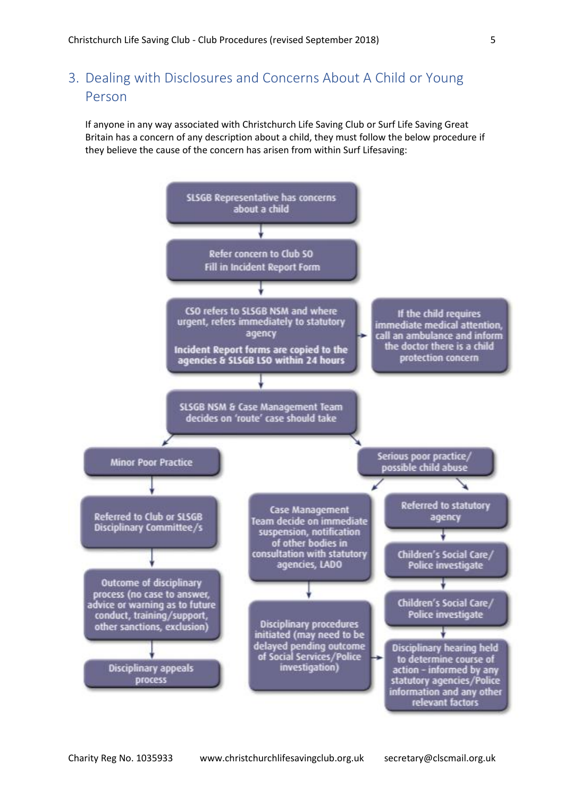<span id="page-4-0"></span>3. Dealing with Disclosures and Concerns About A Child or Young Person

If anyone in any way associated with Christchurch Life Saving Club or Surf Life Saving Great Britain has a concern of any description about a child, they must follow the below procedure if they believe the cause of the concern has arisen from within Surf Lifesaving:

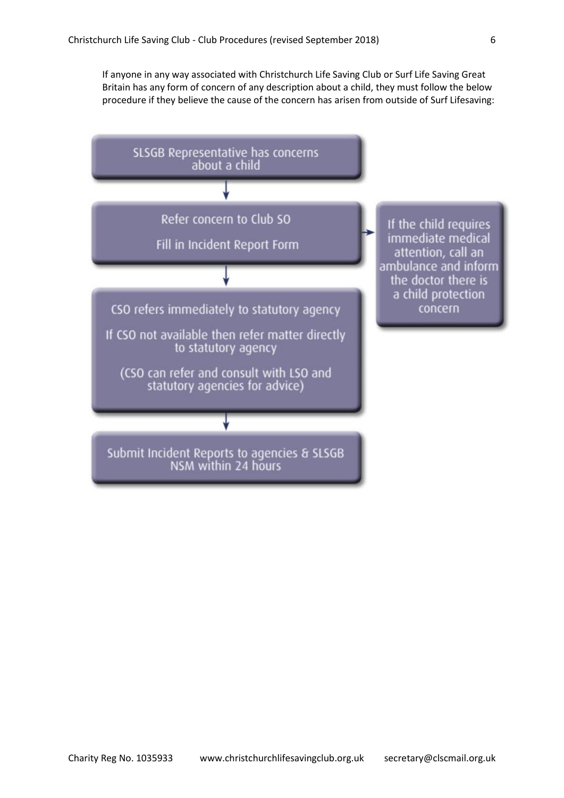If anyone in any way associated with Christchurch Life Saving Club or Surf Life Saving Great Britain has any form of concern of any description about a child, they must follow the below procedure if they believe the cause of the concern has arisen from outside of Surf Lifesaving:

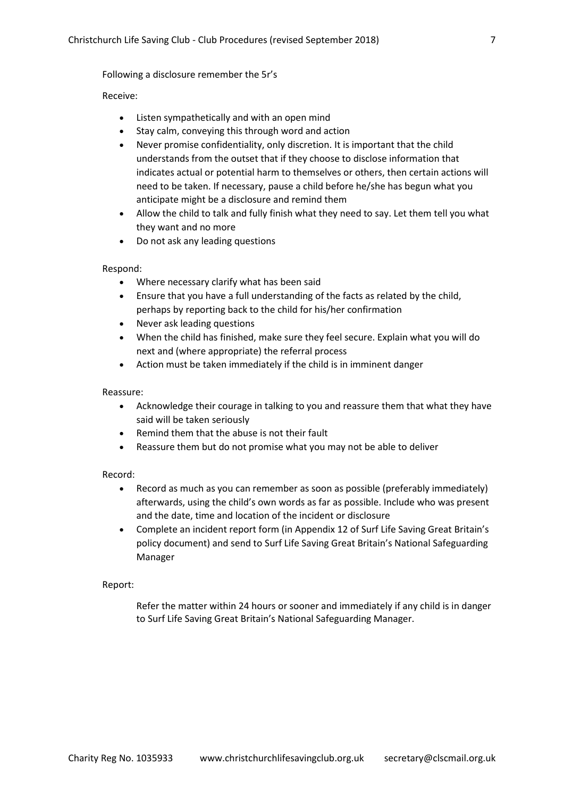Following a disclosure remember the 5r's

#### Receive:

- Listen sympathetically and with an open mind
- Stay calm, conveying this through word and action
- Never promise confidentiality, only discretion. It is important that the child understands from the outset that if they choose to disclose information that indicates actual or potential harm to themselves or others, then certain actions will need to be taken. If necessary, pause a child before he/she has begun what you anticipate might be a disclosure and remind them
- Allow the child to talk and fully finish what they need to say. Let them tell you what they want and no more
- Do not ask any leading questions

#### Respond:

- Where necessary clarify what has been said
- Ensure that you have a full understanding of the facts as related by the child, perhaps by reporting back to the child for his/her confirmation
- Never ask leading questions
- When the child has finished, make sure they feel secure. Explain what you will do next and (where appropriate) the referral process
- Action must be taken immediately if the child is in imminent danger

#### Reassure:

- Acknowledge their courage in talking to you and reassure them that what they have said will be taken seriously
- Remind them that the abuse is not their fault
- Reassure them but do not promise what you may not be able to deliver

#### Record:

- Record as much as you can remember as soon as possible (preferably immediately) afterwards, using the child's own words as far as possible. Include who was present and the date, time and location of the incident or disclosure
- Complete an incident report form (in Appendix 12 of Surf Life Saving Great Britain's policy document) and send to Surf Life Saving Great Britain's National Safeguarding Manager

#### Report:

Refer the matter within 24 hours or sooner and immediately if any child is in danger to Surf Life Saving Great Britain's National Safeguarding Manager.